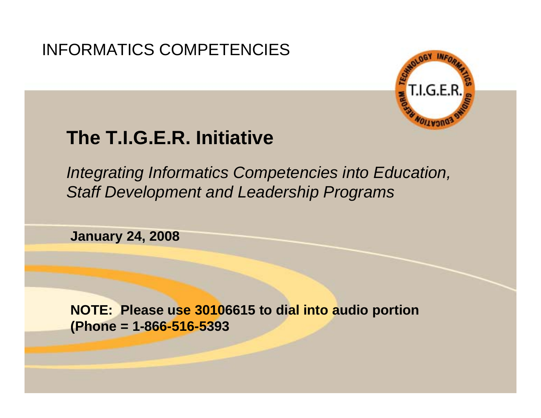### INFORMATICS COMPETENCIES



## **The T.I.G.E.R. Initiative**

*Integrating Informatics Competencies into Education, Staff Development and Leadership Programs*

**January 24, 2008**

**NOTE: Please use 30106615 to dial into audio portion (Phone = 1-866-516-5393**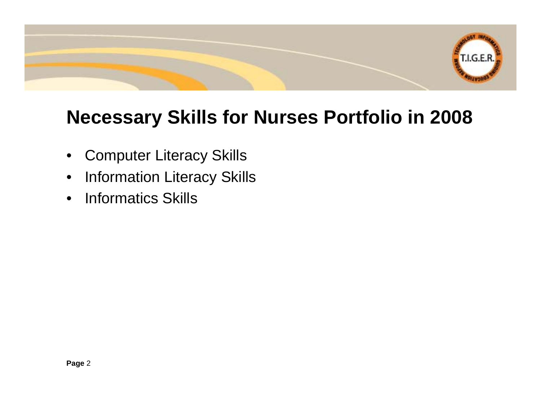

## **Necessary Skills for Nurses Portfolio in 2008**

- Computer Literacy Skills
- Information Literacy Skills
- Informatics Skills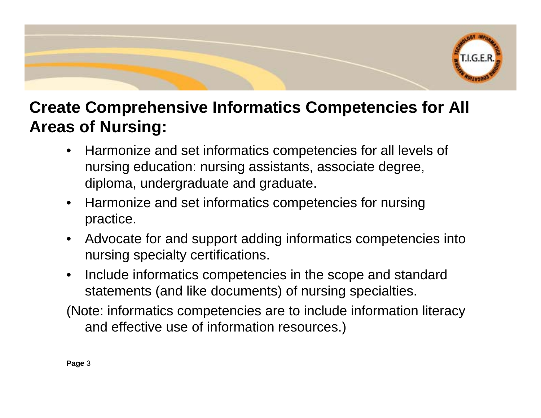

### **Create Comprehensive Informatics Competencies for All Areas of Nursing:**

- Harmonize and set informatics competencies for all levels of nursing education: nursing assistants, associate degree, diploma, undergraduate and graduate.
- Harmonize and set informatics competencies for nursing practice.
- Advocate for and support adding informatics competencies into nursing specialty certifications.
- Include informatics competencies in the scope and standard statements (and like documents) of nursing specialties.
- (Note: informatics competencies are to include information literacy and effective use of information resources.)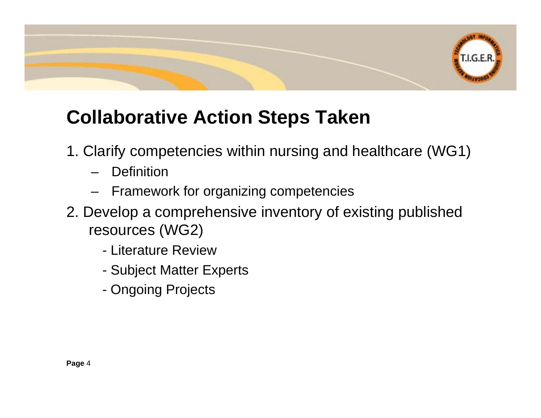

# **Collaborative Action Steps Taken**

- 1. Clarify competencies within nursing and healthcare (WG1)
	- **Definition**
	- Framework for organizing competencies
- 2. Develop a comprehensive inventory of existing published resources (WG2)
	- Literature Review
	- Subject Matter Experts
	- Ongoing Projects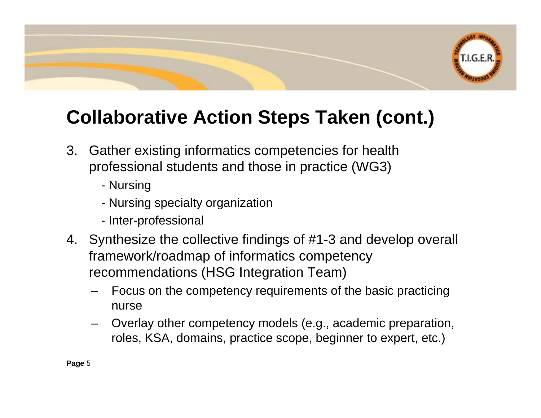

# **Collaborative Action Steps Taken (cont.)**

- 3. Gather existing informatics competencies for health professional students and those in practice (WG3)
	- Nursing
	- Nursing specialty organization
	- Inter-professional
- 4. Synthesize the collective findings of #1-3 and develop overall framework/roadmap of informatics competency recommendations (HSG Integration Team)
	- Focus on the competency requirements of the basic practicing nurse
	- Overlay other competency models (e.g., academic preparation, roles, KSA, domains, practice scope, beginner to expert, etc.)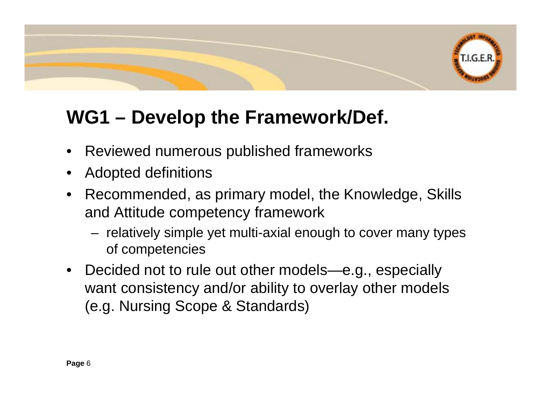

# **WG1 – Develop the Framework/Def.**

- Reviewed numerous published frameworks
- Adopted definitions
- Recommended, as primary model, the Knowledge, Skills and Attitude competency framework
	- relatively simple yet multi-axial enough to cover many types of competencies
- Decided not to rule out other models—e.g., especially want consistency and/or ability to overlay other models (e.g. Nursing Scope & Standards)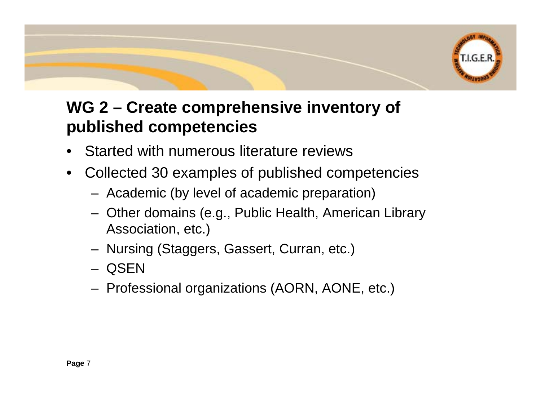

### **WG 2 – Create comprehensive inventory of published competencies**

- Started with numerous literature reviews
- Collected 30 examples of published competencies
	- Academic (by level of academic preparation)
	- Other domains (e.g., Public Health, American Library Association, etc.)
	- Nursing (Staggers, Gassert, Curran, etc.)
	- QSEN
	- Professional organizations (AORN, AONE, etc.)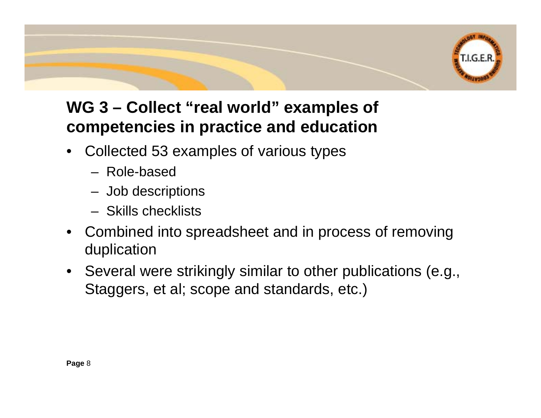

### **WG 3 – Collect "real world" examples of competencies in practice and education**

- Collected 53 examples of various types
	- Role-based
	- Job descriptions
	- Skills checklists
- Combined into spreadsheet and in process of removing duplication
- Several were strikingly similar to other publications (e.g., Staggers, et al; scope and standards, etc.)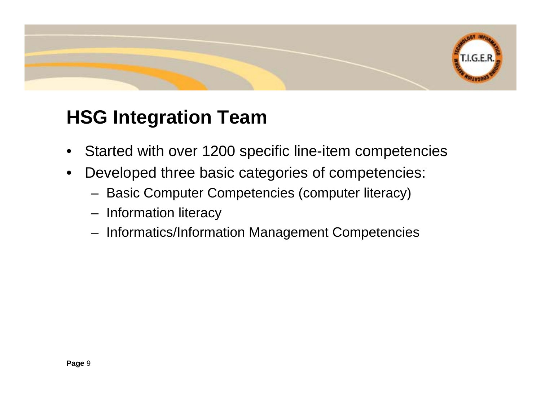# **HSG Integration Team**

• Started with over 1200 specific line-item competencies

**T.I.G.E.R.** 

- Developed three basic categories of competencies:
	- Basic Computer Competencies (computer literacy)
	- Information literacy
	- Informatics/Information Management Competencies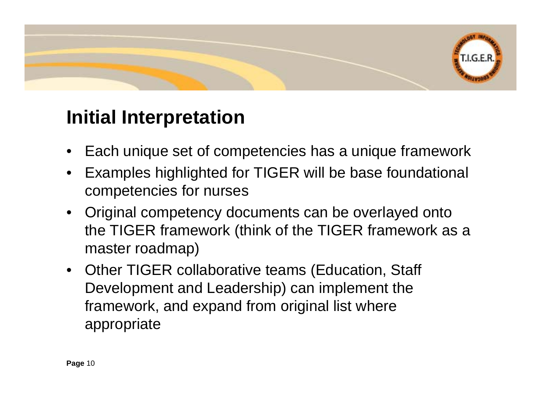# T.I.G.E.R.

## **Initial Interpretation**

- Each unique set of competencies has a unique framework
- Examples highlighted for TIGER will be base foundational competencies for nurses
- Original competency documents can be overlayed onto the TIGER framework (think of the TIGER framework as a master roadmap)
- Other TIGER collaborative teams (Education, Staff Development and Leadership) can implement the framework, and expand from original list where appropriate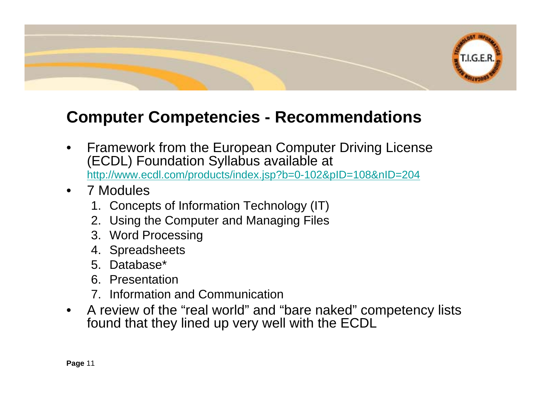

### **Computer Competencies - Recommendations**

- Framework from the European Computer Driving License (ECDL) Foundation Syllabus available at <http://www.ecdl.com/products/index.jsp?b=0-102&pID=108&nID=204>
- 7 Modules
	- 1. Concepts of Information Technology (IT)
	- 2. Using the Computer and Managing Files
	- 3. Word Processing
	- 4. Spreadsheets
	- 5. Database\*
	- 6. Presentation
	- 7. Information and Communication
- A review of the "real world" and "bare naked" competency lists found that they lined up very well with the ECDL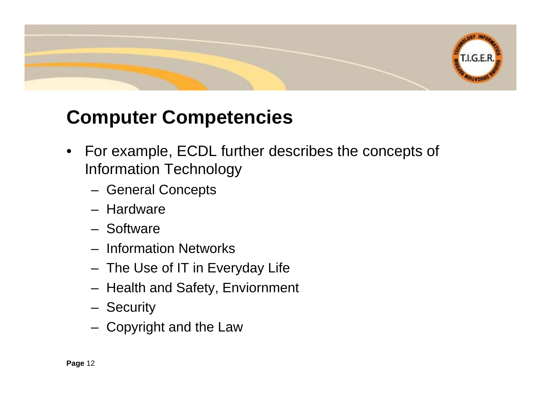

## **Computer Competencies**

- For example, ECDL further describes the concepts of Information Technology
	- General Concepts
	- Hardware
	- Software
	- Information Networks
	- The Use of IT in Everyday Life
	- Health and Safety, Enviornment
	- Security
	- Copyright and the Law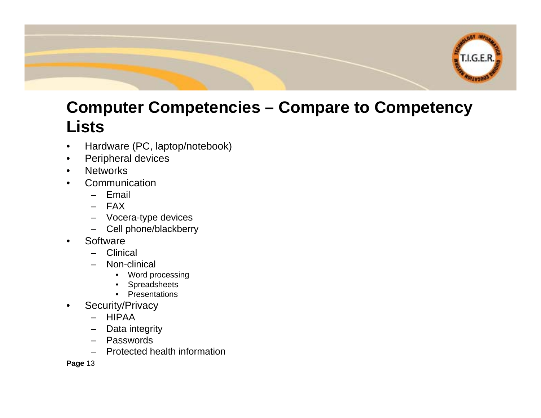

### **Computer Competencies – Compare to Competency Lists**

- Hardware (PC, laptop/notebook)
- Peripheral devices
- Networks
- **Communication** 
	- Email
	- FAX
	- Vocera-type devices
	- Cell phone/blackberry
- Software
	- Clinical
	- Non-clinical
		- Word processing
		- Spreadsheets
		- Presentations
- Security/Privacy
	- HIPAA
	- Data integrity
	- Passwords
	- Protected health information

**Page** 13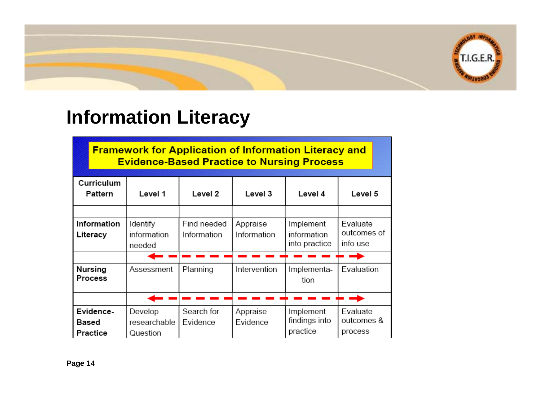

## **Information Literacy**

**Framework for Application of Information Literacy and Evidence-Based Practice to Nursing Process** 

| Curriculum<br>Pattern            | Level 1                             | Level 2                    | Level 3                 | Level 4                                   | Level 5                             |
|----------------------------------|-------------------------------------|----------------------------|-------------------------|-------------------------------------------|-------------------------------------|
|                                  |                                     |                            |                         |                                           |                                     |
| Information<br>Literacy          | Identify<br>information<br>needed   | Find needed<br>Information | Appraise<br>Information | Implement<br>information<br>into practice | Evaluate<br>outcomes of<br>info use |
|                                  |                                     |                            |                         |                                           |                                     |
| <b>Nursing</b><br><b>Process</b> | Assessment                          | Planning                   | Intervention            | Implementa-<br>tion                       | Evaluation                          |
|                                  |                                     |                            |                         |                                           |                                     |
| Evidence-<br>Based<br>Practice   | Develop<br>researchable<br>Question | Search for<br>Evidence     | Appraise<br>Evidence    | Implement<br>findings into<br>practice    | Evaluate<br>outcomes &<br>process   |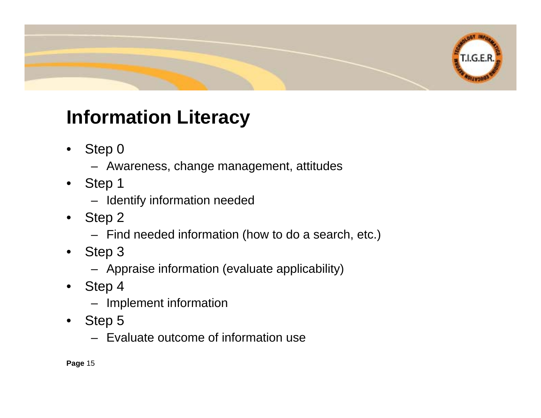

# **Information Literacy**

- Step 0
	- Awareness, change management, attitudes
- Step 1
	- Identify information needed
- Step 2
	- Find needed information (how to do a search, etc.)
- Step 3
	- Appraise information (evaluate applicability)
- Step 4
	- Implement information
- Step 5
	- Evaluate outcome of information use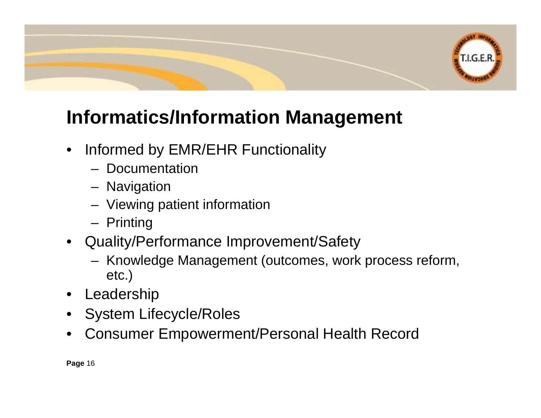

# **Informatics/Information Management**

- Informed by EMR/EHR Functionality
	- Documentation
	- Navigation
	- Viewing patient information
	- Printing
- Quality/Performance Improvement/Safety
	- Knowledge Management (outcomes, work process reform, etc.)
- Leadership
- System Lifecycle/Roles
- Consumer Empowerment/Personal Health Record